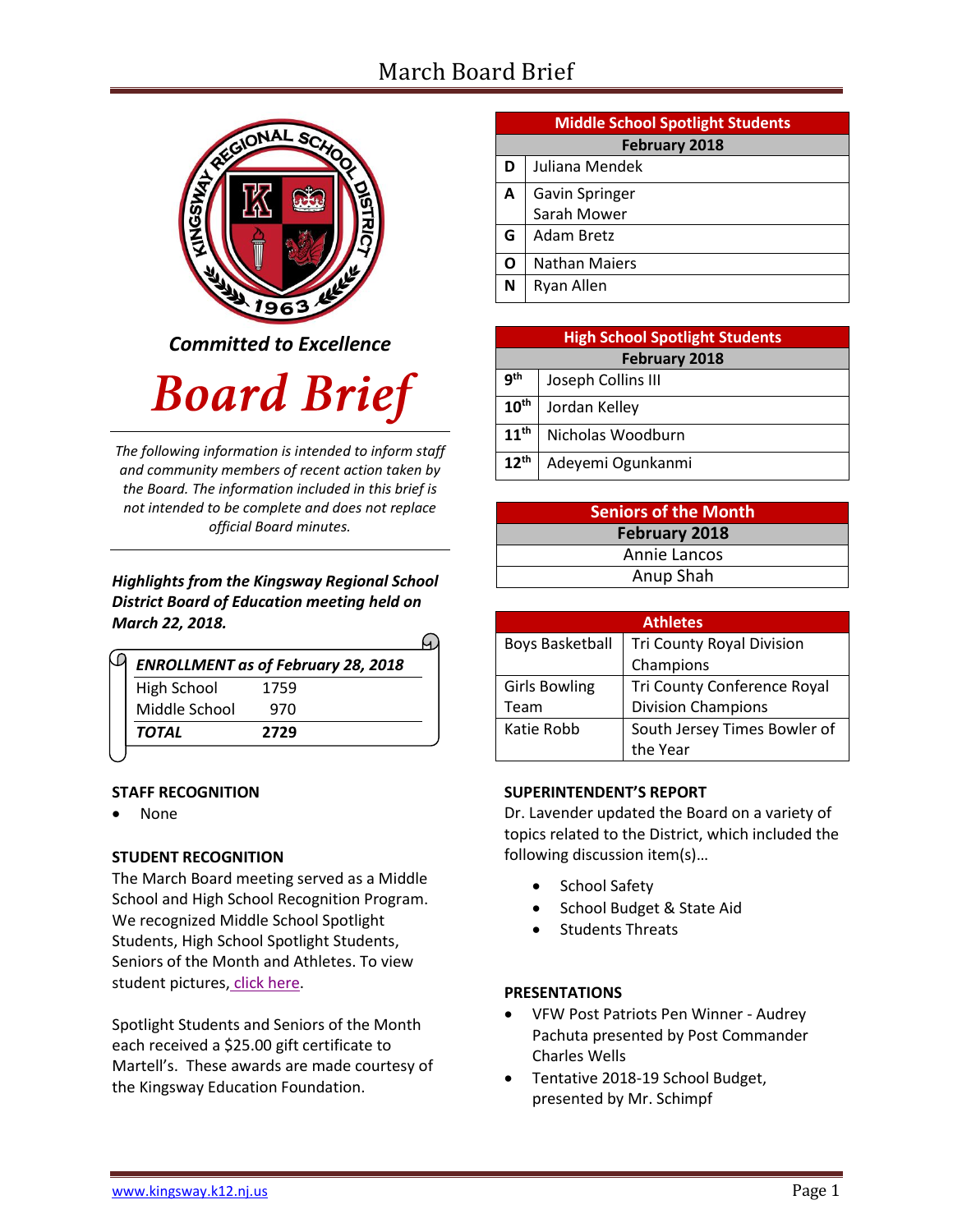# March Board Brief

**G** Adam Bretz **O** | Nathan Maiers



*Committed to Excellence*

# **Board Brief**

*The following information is intended to inform staff and community members of recent action taken by the Board. The information included in this brief is not intended to be complete and does not replace official Board minutes.*

#### *Highlights from the Kingsway Regional School District Board of Education meeting held on March 22, 2018.*

| <b>ENROLLMENT as of February 28, 2018</b> |      |  |
|-------------------------------------------|------|--|
| <b>High School</b>                        | 1759 |  |
| Middle School                             | 970  |  |
| <b>TOTAL</b>                              | 2729 |  |

#### **STAFF RECOGNITION**

None

# **STUDENT RECOGNITION**

The March Board meeting served as a Middle School and High School Recognition Program. We recognized Middle School Spotlight Students, High School Spotlight Students, Seniors of the Month and Athletes. To view student pictures, [click here.](http://www.krsd.org/Page/1303)

Spotlight Students and Seniors of the Month each received a \$25.00 gift certificate to Martell's. These awards are made courtesy of the Kingsway Education Foundation.

| <b>Middle School Spotlight Students</b> |                                 |  |  |  |  |
|-----------------------------------------|---------------------------------|--|--|--|--|
|                                         | <b>February 2018</b>            |  |  |  |  |
|                                         | D Juliana Mendek                |  |  |  |  |
|                                         | A Gavin Springer<br>Sarah Mower |  |  |  |  |
|                                         |                                 |  |  |  |  |

**N** Ryan Allen **High School Spotlight Students February 2018 9 th** Joseph Collins III **10th** Jordan Kelley **11th** Nicholas Woodburn **12th** Adeyemi Ogunkanmi

| <b>Seniors of the Month</b> |  |  |
|-----------------------------|--|--|
| <b>February 2018</b>        |  |  |
| Annie Lancos                |  |  |
| Anup Shah                   |  |  |
|                             |  |  |

| <b>Athletes</b>        |                                    |  |  |  |
|------------------------|------------------------------------|--|--|--|
| <b>Boys Basketball</b> | <b>Tri County Royal Division</b>   |  |  |  |
|                        | Champions                          |  |  |  |
| <b>Girls Bowling</b>   | <b>Tri County Conference Royal</b> |  |  |  |
| Team                   | <b>Division Champions</b>          |  |  |  |
| Katie Robb             | South Jersey Times Bowler of       |  |  |  |
|                        | the Year                           |  |  |  |

#### **SUPERINTENDENT'S REPORT**

Dr. Lavender updated the Board on a variety of topics related to the District, which included the following discussion item(s)…

- School Safety
- School Budget & State Aid
- Students Threats

# **PRESENTATIONS**

- [VFW](https://www.krsd.org/Page/1453) Post Patriots Pen Winner Audrey Pachuta presented by Post Commander Charles Wells
- Tentative 2018-19 School Budget, presented by Mr. Schimpf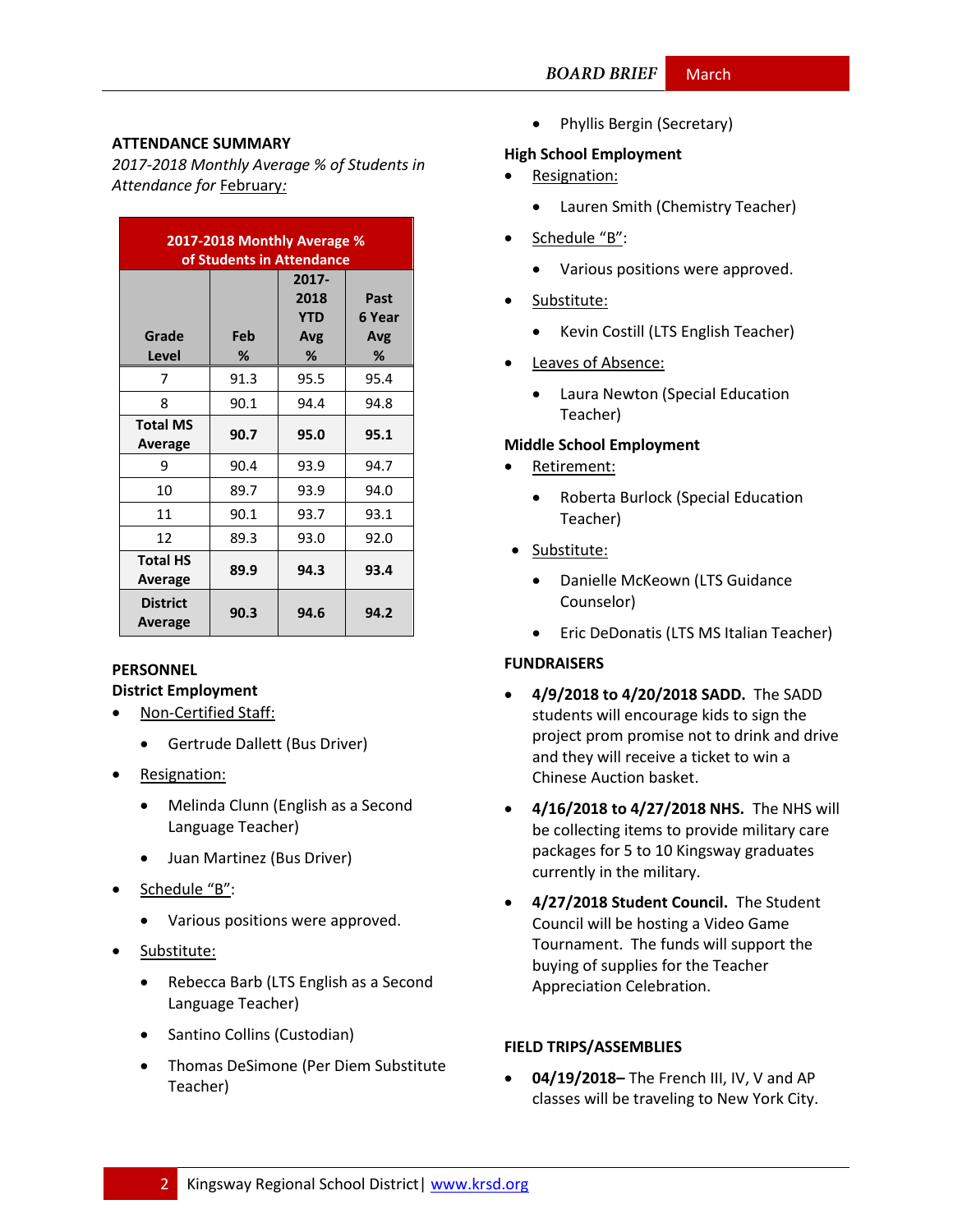#### **ATTENDANCE SUMMARY**

*2017-2018 Monthly Average % of Students in Attendance for* February*:*

| 2017-2018 Monthly Average %<br>of Students in Attendance |          |                                         |                            |  |  |
|----------------------------------------------------------|----------|-----------------------------------------|----------------------------|--|--|
| Grade<br>Level                                           | Feb<br>℅ | 2017-<br>2018<br><b>YTD</b><br>Avg<br>% | Past<br>6 Year<br>Avg<br>℅ |  |  |
| 7                                                        | 91.3     | 95.5                                    | 95.4                       |  |  |
| 8                                                        | 90.1     | 94.4                                    | 94.8                       |  |  |
| <b>Total MS</b><br>Average                               | 90.7     | 95.0                                    | 95.1                       |  |  |
| 9                                                        | 90.4     | 93.9                                    | 94.7                       |  |  |
| 10                                                       | 89.7     | 93.9                                    | 94.0                       |  |  |
| 11                                                       | 90.1     | 93.7                                    | 93.1                       |  |  |
| 12                                                       | 89.3     | 93.0                                    | 92.0                       |  |  |
| <b>Total HS</b><br>Average                               | 89.9     | 94.3                                    | 93.4                       |  |  |
| <b>District</b><br>Average                               | 90.3     | 94.6                                    | 94.2                       |  |  |

#### **PERSONNEL District Employment**

- Non-Certified Staff:
	- Gertrude Dallett (Bus Driver)
- Resignation:
	- Melinda Clunn (English as a Second Language Teacher)
	- Juan Martinez (Bus Driver)
- Schedule "B":
	- Various positions were approved.
- Substitute:
	- Rebecca Barb (LTS English as a Second Language Teacher)
	- Santino Collins (Custodian)
	- Thomas DeSimone (Per Diem Substitute Teacher)

• Phyllis Bergin (Secretary)

#### **High School Employment**

- Resignation:
	- Lauren Smith (Chemistry Teacher)
- Schedule "B":
	- Various positions were approved.
- Substitute:
	- Kevin Costill (LTS English Teacher)
- Leaves of Absence:
	- Laura Newton (Special Education Teacher)

#### **Middle School Employment**

- Retirement:
	- Roberta Burlock (Special Education Teacher)
- Substitute:
	- Danielle McKeown (LTS Guidance Counselor)
	- Eric DeDonatis (LTS MS Italian Teacher)

# **FUNDRAISERS**

- **4/9/2018 to 4/20/2018 SADD.** The SADD students will encourage kids to sign the project prom promise not to drink and drive and they will receive a ticket to win a Chinese Auction basket.
- **4/16/2018 to 4/27/2018 NHS.** The NHS will be collecting items to provide military care packages for 5 to 10 Kingsway graduates currently in the military.
- **4/27/2018 Student Council.** The Student Council will be hosting a Video Game Tournament. The funds will support the buying of supplies for the Teacher Appreciation Celebration.

#### **FIELD TRIPS/ASSEMBLIES**

 **04/19/2018–** The French III, IV, V and AP classes will be traveling to New York City.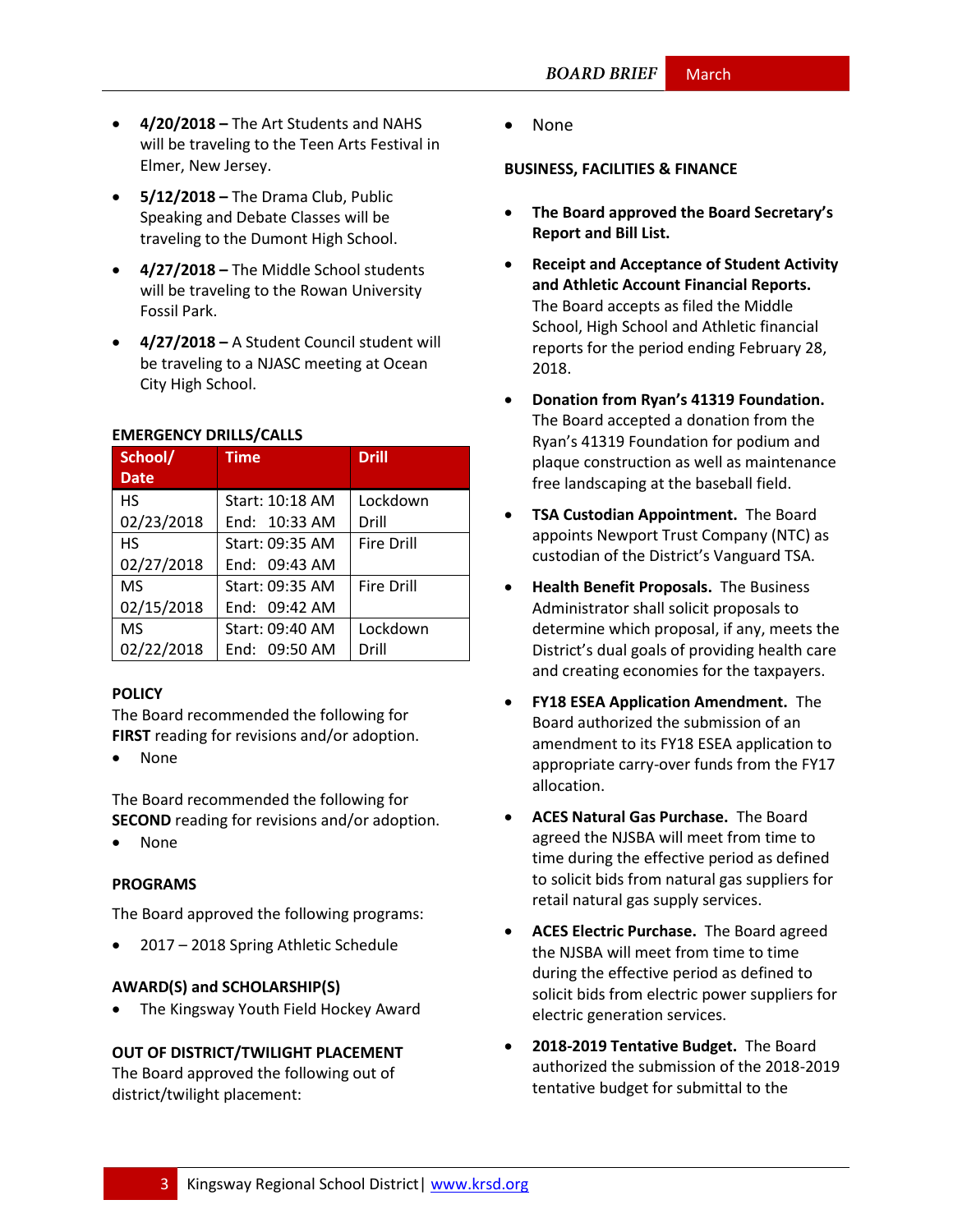- **4/20/2018 –** The Art Students and NAHS will be traveling to the Teen Arts Festival in Elmer, New Jersey.
- **5/12/2018 –** The Drama Club, Public Speaking and Debate Classes will be traveling to the Dumont High School.
- **4/27/2018 –** The Middle School students will be traveling to the Rowan University Fossil Park.
- **4/27/2018 –** A Student Council student will be traveling to a NJASC meeting at Ocean City High School.

| School/     | <b>Time</b>     | <b>Drill</b>      |  |
|-------------|-----------------|-------------------|--|
| <b>Date</b> |                 |                   |  |
| HS          | Start: 10:18 AM | Lockdown          |  |
| 02/23/2018  | End: 10:33 AM   | Drill             |  |
| <b>HS</b>   | Start: 09:35 AM | <b>Fire Drill</b> |  |
| 02/27/2018  | End: 09:43 AM   |                   |  |
| <b>MS</b>   | Start: 09:35 AM | <b>Fire Drill</b> |  |
| 02/15/2018  | End: 09:42 AM   |                   |  |
| <b>MS</b>   | Start: 09:40 AM | Lockdown          |  |
| 02/22/2018  | End: 09:50 AM   | Drill             |  |

#### **EMERGENCY DRILLS/CALLS**

#### **[POLICY](http://www.straussesmay.com/seportal/Public/DistrictPolicyTOC.aspx?id=f0cc945ef3894b8d9ad5f87d948ca425&PolicyID=)**

The Board recommended the following for **FIRST** reading for revisions and/or adoption.

None

The Board recommended the following for **SECOND** reading for revisions and/or adoption.

None

#### **PROGRAMS**

The Board approved the following programs:

2017 – 2018 Spring Athletic Schedule

#### **AWARD(S) and SCHOLARSHIP(S)**

The Kingsway Youth Field Hockey Award

#### **OUT OF DISTRICT/TWILIGHT PLACEMENT**

The Board approved the following out of district/twilight placement:

None

#### **BUSINESS, FACILITIES & FINANCE**

- **The Board approved the Board Secretary's Report and Bill List.**
- **Receipt and Acceptance of Student Activity and Athletic Account Financial Reports.** The Board accepts as filed the Middle School, High School and Athletic financial reports for the period ending February 28, 2018.
- **Donation from Ryan's 41319 Foundation.**  The Board accepted a donation from the Ryan's 41319 Foundation for podium and plaque construction as well as maintenance free landscaping at the baseball field.
- **TSA Custodian Appointment.** The Board appoints Newport Trust Company (NTC) as custodian of the District's Vanguard TSA.
- **Health Benefit Proposals.** The Business Administrator shall solicit proposals to determine which proposal, if any, meets the District's dual goals of providing health care and creating economies for the taxpayers.
- **FY18 ESEA Application Amendment.** The Board authorized the submission of an amendment to its FY18 ESEA application to appropriate carry-over funds from the FY17 allocation.
- **ACES Natural Gas Purchase.** The Board agreed the NJSBA will meet from time to time during the effective period as defined to solicit bids from natural gas suppliers for retail natural gas supply services.
- **ACES Electric Purchase.** The Board agreed the NJSBA will meet from time to time during the effective period as defined to solicit bids from electric power suppliers for electric generation services.
- **2018-2019 Tentative Budget.** The Board authorized the submission of the 2018-2019 tentative budget for submittal to the